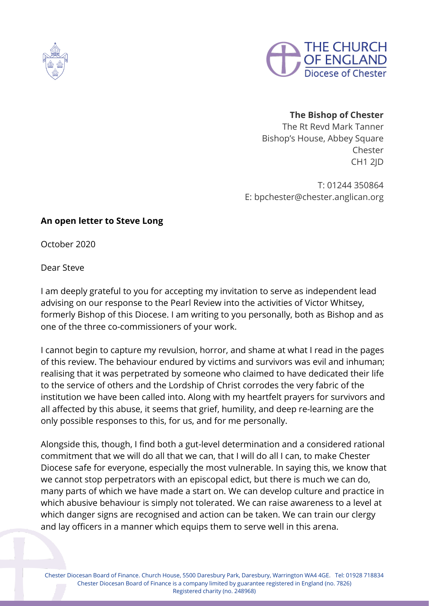



## **The Bishop of Chester**

The Rt Revd Mark Tanner Bishop's House, Abbey Square Chester CH1 2JD

T: 01244 350864 E: bpchester@chester.anglican.org

## **An open letter to Steve Long**

October 2020

Dear Steve

I am deeply grateful to you for accepting my invitation to serve as independent lead advising on our response to the Pearl Review into the activities of Victor Whitsey, formerly Bishop of this Diocese. I am writing to you personally, both as Bishop and as one of the three co-commissioners of your work.

I cannot begin to capture my revulsion, horror, and shame at what I read in the pages of this review. The behaviour endured by victims and survivors was evil and inhuman; realising that it was perpetrated by someone who claimed to have dedicated their life to the service of others and the Lordship of Christ corrodes the very fabric of the institution we have been called into. Along with my heartfelt prayers for survivors and all affected by this abuse, it seems that grief, humility, and deep re-learning are the only possible responses to this, for us, and for me personally.

Alongside this, though, I find both a gut-level determination and a considered rational commitment that we will do all that we can, that I will do all I can, to make Chester Diocese safe for everyone, especially the most vulnerable. In saying this, we know that we cannot stop perpetrators with an episcopal edict, but there is much we can do, many parts of which we have made a start on. We can develop culture and practice in which abusive behaviour is simply not tolerated. We can raise awareness to a level at which danger signs are recognised and action can be taken. We can train our clergy and lay officers in a manner which equips them to serve well in this arena.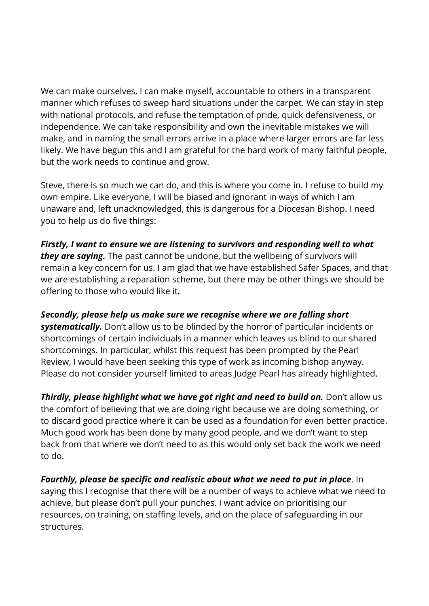We can make ourselves, I can make myself, accountable to others in a transparent manner which refuses to sweep hard situations under the carpet. We can stay in step with national protocols, and refuse the temptation of pride, quick defensiveness, or independence. We can take responsibility and own the inevitable mistakes we will make, and in naming the small errors arrive in a place where larger errors are far less likely. We have begun this and I am grateful for the hard work of many faithful people, but the work needs to continue and grow.

Steve, there is so much we can do, and this is where you come in. I refuse to build my own empire. Like everyone, I will be biased and ignorant in ways of which I am unaware and, left unacknowledged, this is dangerous for a Diocesan Bishop. I need you to help us do five things:

*Firstly, I want to ensure we are listening to survivors and responding well to what they are saying.* The past cannot be undone, but the wellbeing of survivors will remain a key concern for us. I am glad that we have established Safer Spaces, and that we are establishing a reparation scheme, but there may be other things we should be offering to those who would like it.

## *Secondly, please help us make sure we recognise where we are falling short*

*systematically.* Don't allow us to be blinded by the horror of particular incidents or shortcomings of certain individuals in a manner which leaves us blind to our shared shortcomings. In particular, whilst this request has been prompted by the Pearl Review, I would have been seeking this type of work as incoming bishop anyway. Please do not consider yourself limited to areas Judge Pearl has already highlighted.

*Thirdly, please highlight what we have got right and need to build on.* Don't allow us the comfort of believing that we are doing right because we are doing something, or to discard good practice where it can be used as a foundation for even better practice. Much good work has been done by many good people, and we don't want to step back from that where we don't need to as this would only set back the work we need to do.

*Fourthly, please be specific and realistic about what we need to put in place*. In saying this I recognise that there will be a number of ways to achieve what we need to achieve, but please don't pull your punches. I want advice on prioritising our resources, on training, on staffing levels, and on the place of safeguarding in our structures.